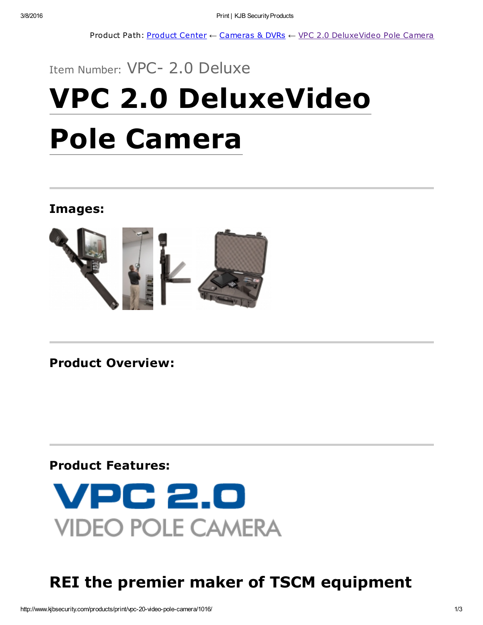Product Path: [Product](http://www.kjbsecurity.com/products/) Center ← [Cameras](http://www.kjbsecurity.com/products/cameras-dvrs/1469/) & DVRs ← VPC 2.0 [DeluxeVideo](http://www.kjbsecurity.com/products/print/vpc-20-video-pole-camera/1016/) Pole Camera

# Item Number: VPC- 2.0 Deluxe VPC 2.0 DeluxeVideo Pole Camera

### Images:



Product Overview:

### Product Features:



# REI the premier maker of TSCM equipment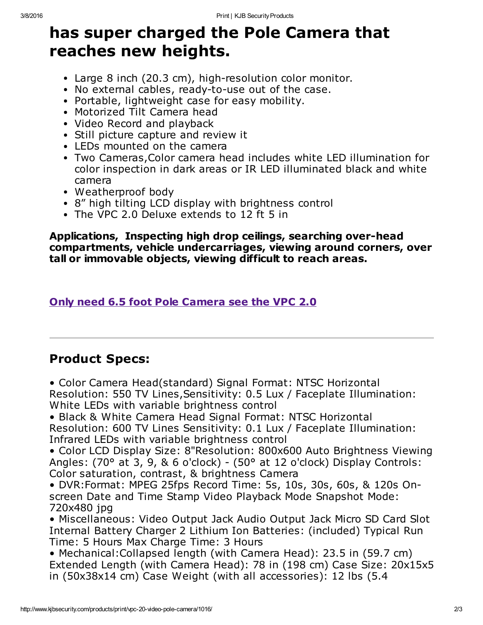## has super charged the Pole Camera that reaches new heights.

- Large 8 inch (20.3 cm), high-resolution color monitor.
- No external cables, ready-to-use out of the case.
- Portable, lightweight case for easy mobility.
- Motorized Tilt Camera head
- Video Record and playback
- Still picture capture and review it
- LEDs mounted on the camera
- Two Cameras,Color camera head includes white LED illumination for color inspection in dark areas or IR LED illuminated black and white camera
- Weatherproof body
- 8" high tilting LCD display with brightness control
- The VPC 2.0 Deluxe extends to 12 ft 5 in

Applications, Inspecting high drop ceilings, searching over-head compartments, vehicle undercarriages, viewing around corners, over tall or immovable objects, viewing difficult to reach areas.

#### Only need 6.5 foot Pole [Camera](http://www.kjbsecurity.com/products/detail/vpc-20-video-pole-camera/1015/) see the VPC 2.0

## Product Specs:

• Color Camera Head(standard) Signal Format: NTSC Horizontal Resolution: 550 TV Lines,Sensitivity: 0.5 Lux / Faceplate Illumination: White LEDs with variable brightness control

• Black & White Camera Head Signal Format: NTSC Horizontal Resolution: 600 TV Lines Sensitivity: 0.1 Lux / Faceplate Illumination: Infrared LEDs with variable brightness control

• Color LCD Display Size: 8"Resolution: 800x600 Auto Brightness Viewing Angles: (70° at 3, 9, & 6 o'clock) - (50° at 12 o'clock) Display Controls: Color saturation, contrast, & brightness Camera

• DVR:Format: MPEG 25fps Record Time: 5s, 10s, 30s, 60s, & 120s Onscreen Date and Time Stamp Video Playback Mode Snapshot Mode: 720x480 jpg

• Miscellaneous: Video Output Jack Audio Output Jack Micro SD Card Slot Internal Battery Charger 2 Lithium Ion Batteries: (included) Typical Run Time: 5 Hours Max Charge Time: 3 Hours

• Mechanical:Collapsed length (with Camera Head): 23.5 in (59.7 cm) Extended Length (with Camera Head): 78 in (198 cm) Case Size: 20x15x5 in (50x38x14 cm) Case Weight (with all accessories): 12 lbs (5.4